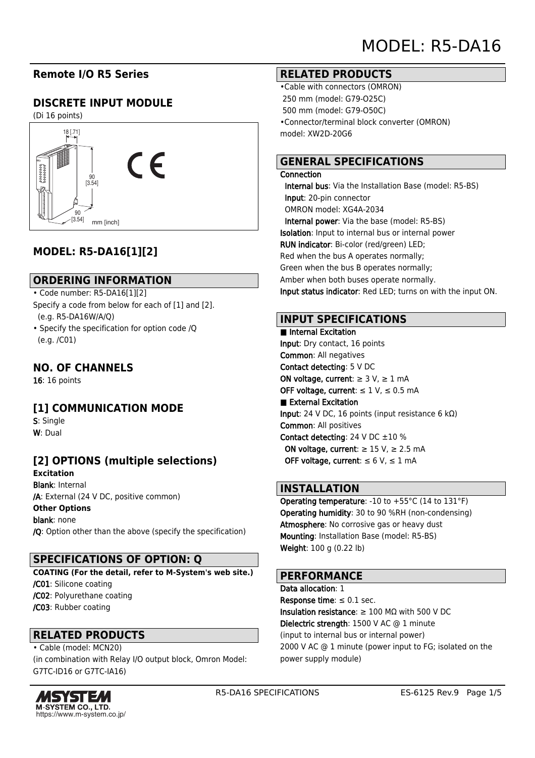## **Remote I/O R5 Series**

## **DISCRETE INPUT MODULE**

(Di 16 points)



## **MODEL: R5-DA16[1][2]**

### **ORDERING INFORMATION**

- Code number: R5-DA16[1][2]
- Specify a code from below for each of [1] and [2]. (e.g. R5-DA16W/A/Q)
- Specify the specification for option code /Q (e.g. /C01)

### **NO. OF CHANNELS**

16: 16 points

### **[1] COMMUNICATION MODE**

S: Single W: Dual

# **[2] OPTIONS (multiple selections)**

**Excitation** Blank: Internal /A: External (24 V DC, positive common) **Other Options** blank: none

/Q: Option other than the above (specify the specification)

### **SPECIFICATIONS OF OPTION: Q**

**COATING (For the detail, refer to M-System's web site.)** /C01: Silicone coating /C02: Polyurethane coating /C03: Rubber coating

### **RELATED PRODUCTS**

• Cable (model: MCN20) (in combination with Relay I/O output block, Omron Model: G7TC-ID16 or G7TC-IA16)



#### **RELATED PRODUCTS**

•Cable with connectors (OMRON) 250 mm (model: G79-O25C) 500 mm (model: G79-O50C) •Connector/terminal block converter (OMRON) model: XW2D-20G6

### **GENERAL SPECIFICATIONS**

#### **Connection**

 Internal bus: Via the Installation Base (model: R5-BS) Input: 20-pin connector OMRON model: XG4A-2034 Internal power: Via the base (model: R5-BS) Isolation: Input to internal bus or internal power RUN indicator: Bi-color (red/green) LED; Red when the bus A operates normally; Green when the bus B operates normally; Amber when both buses operate normally. Input status indicator: Red LED; turns on with the input ON.

### **INPUT SPECIFICATIONS**

#### ■ Internal Excitation Input: Dry contact, 16 points Common: All negatives Contact detecting: 5 V DC ON voltage, current:  $\geq 3$  V,  $\geq 1$  mA OFF voltage, current:  $\leq 1$  V,  $\leq 0.5$  mA ■ External Excitation Input: 24 V DC, 16 points (input resistance 6 kΩ) Common: All positives Contact detecting: 24 V DC ±10 % ON voltage, current:  $\geq 15$  V,  $\geq 2.5$  mA OFF voltage, current:  $\leq 6$  V,  $\leq 1$  mA

### **INSTALLATION**

Operating temperature: -10 to +55°C (14 to 131°F) Operating humidity: 30 to 90 %RH (non-condensing) Atmosphere: No corrosive gas or heavy dust Mounting: Installation Base (model: R5-BS) Weight: 100 g (0.22 lb)

### **PERFORMANCE**

Data allocation: 1 Response time:  $\leq 0.1$  sec. Insulation resistance: ≥ 100 MΩ with 500 V DC Dielectric strength: 1500 V AC @ 1 minute (input to internal bus or internal power) 2000 V AC @ 1 minute (power input to FG; isolated on the power supply module)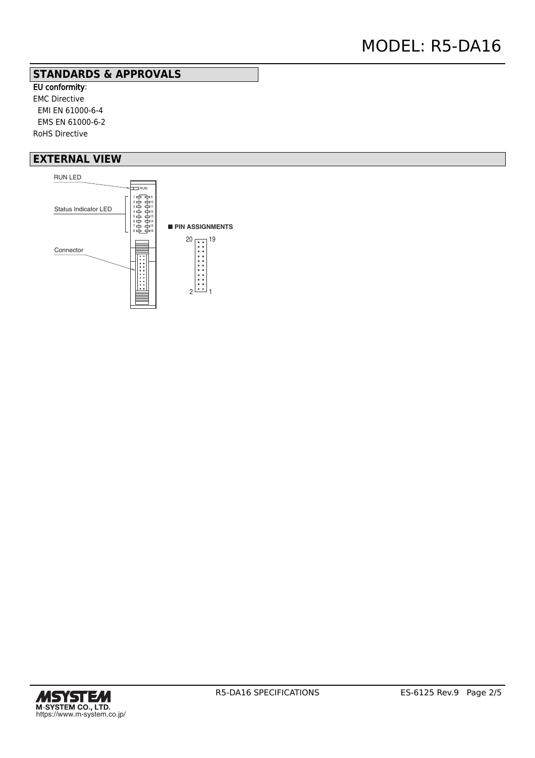### **STANDARDS & APPROVALS**

EU conformity: EMC Directive EMI EN 61000-6-4 EMS EN 61000-6-2 RoHS Directive

### **EXTERNAL VIEW**



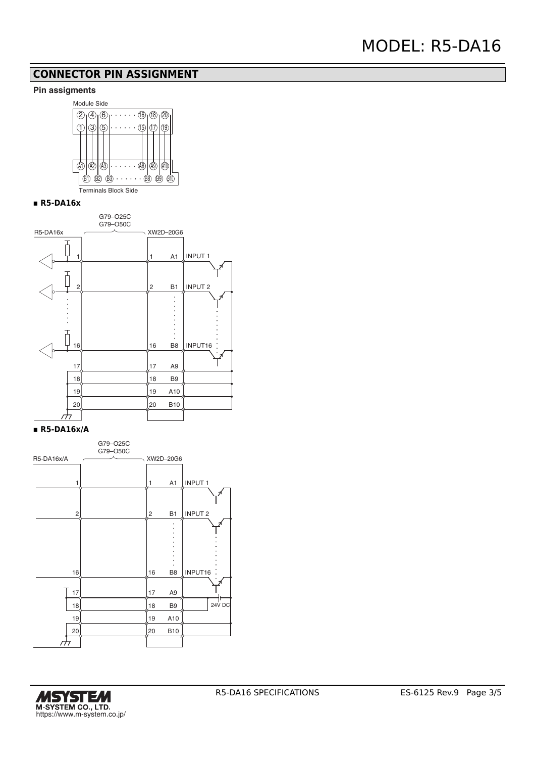## **CONNECTOR PIN ASSIGNMENT**

#### **Pin assigments**



#### **▪ R5-DA16x**



#### **▪ R5-DA16x/A**



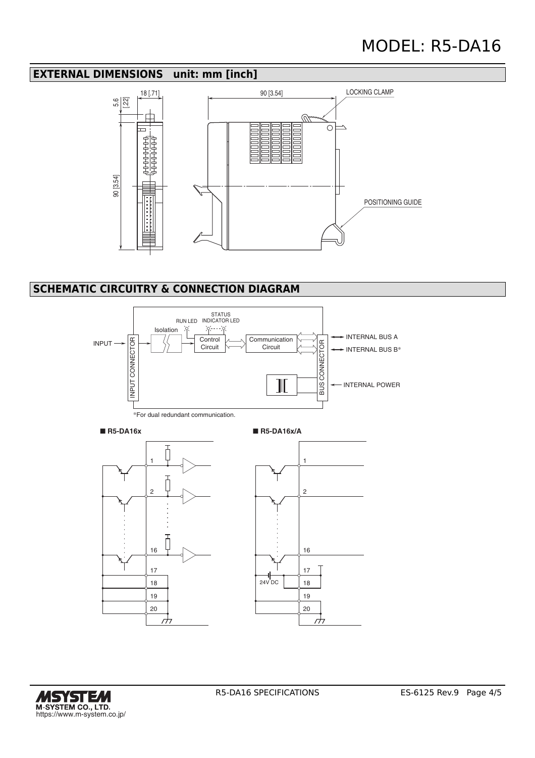## **EXTERNAL DIMENSIONS unit: mm [inch]**



# **SCHEMATIC CIRCUITRY & CONNECTION DIAGRAM**